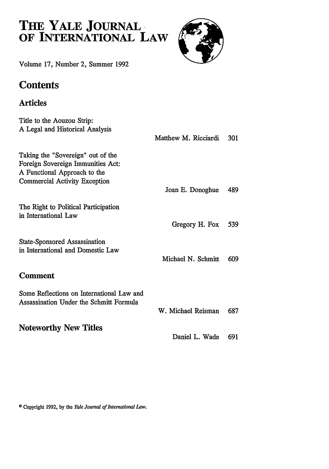# **THE YALE JOURNAL OF INTERNATIONAL LAW**



Volume **17,** Number 2, Summer **1992**

## **Contents**

## Articles

| Matthew M. Ricciardi | 301 |
|----------------------|-----|
| Joan E. Donoghue     | 489 |
| Gregory H. Fox       | 539 |
| Michael N. Schmitt   | 609 |
|                      |     |
| W. Michael Reisman   | 687 |
| Daniel L. Wade       | 691 |
|                      |     |

**0** Copyright 1992, by the *Yale Journal of Intentational Law.*